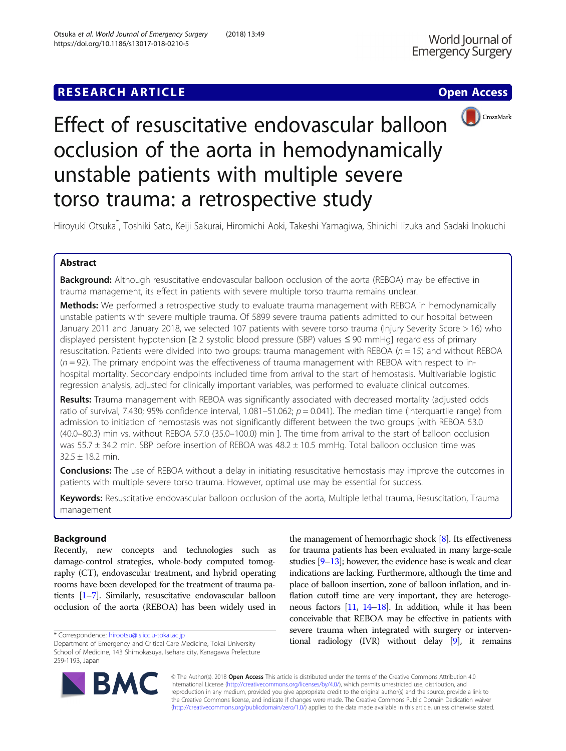# **RESEARCH ARTICLE Example 2014 12:30 The Contract of Contract ACCESS**



# Effect of resuscitative endovascular balloon occlusion of the aorta in hemodynamically unstable patients with multiple severe torso trauma: a retrospective study

Hiroyuki Otsuka\* , Toshiki Sato, Keiji Sakurai, Hiromichi Aoki, Takeshi Yamagiwa, Shinichi Iizuka and Sadaki Inokuchi

# Abstract

Background: Although resuscitative endovascular balloon occlusion of the aorta (REBOA) may be effective in trauma management, its effect in patients with severe multiple torso trauma remains unclear.

Methods: We performed a retrospective study to evaluate trauma management with REBOA in hemodynamically unstable patients with severe multiple trauma. Of 5899 severe trauma patients admitted to our hospital between January 2011 and January 2018, we selected 107 patients with severe torso trauma (Injury Severity Score > 16) who displayed persistent hypotension [≥ 2 systolic blood pressure (SBP) values ≤ 90 mmHg] regardless of primary resuscitation. Patients were divided into two groups: trauma management with REBOA ( $n = 15$ ) and without REBOA  $(n = 92)$ . The primary endpoint was the effectiveness of trauma management with REBOA with respect to inhospital mortality. Secondary endpoints included time from arrival to the start of hemostasis. Multivariable logistic regression analysis, adjusted for clinically important variables, was performed to evaluate clinical outcomes.

Results: Trauma management with REBOA was significantly associated with decreased mortality (adjusted odds ratio of survival, 7.430; 95% confidence interval, 1.081–51.062;  $p = 0.041$ ). The median time (interquartile range) from admission to initiation of hemostasis was not significantly different between the two groups [with REBOA 53.0 (40.0–80.3) min vs. without REBOA 57.0 (35.0–100.0) min ]. The time from arrival to the start of balloon occlusion was 55.7 ± 34.2 min. SBP before insertion of REBOA was 48.2 ± 10.5 mmHg. Total balloon occlusion time was  $32.5 \pm 18.2$  min.

Conclusions: The use of REBOA without a delay in initiating resuscitative hemostasis may improve the outcomes in patients with multiple severe torso trauma. However, optimal use may be essential for success.

Keywords: Resuscitative endovascular balloon occlusion of the aorta, Multiple lethal trauma, Resuscitation, Trauma management

# Background

Recently, new concepts and technologies such as damage-control strategies, whole-body computed tomography (CT), endovascular treatment, and hybrid operating rooms have been developed for the treatment of trauma patients [\[1](#page-5-0)–[7](#page-5-0)]. Similarly, resuscitative endovascular balloon occlusion of the aorta (REBOA) has been widely used in

Department of Emergency and Critical Care Medicine, Tokai University School of Medicine, 143 Shimokasuya, Isehara city, Kanagawa Prefecture 259-1193, Japan



the management of hemorrhagic shock [[8\]](#page-5-0). Its effectiveness for trauma patients has been evaluated in many large-scale studies [\[9](#page-5-0)–[13](#page-6-0)]; however, the evidence base is weak and clear indications are lacking. Furthermore, although the time and place of balloon insertion, zone of balloon inflation, and inflation cutoff time are very important, they are heterogeneous factors [\[11](#page-6-0), [14](#page-6-0)–[18](#page-6-0)]. In addition, while it has been conceivable that REBOA may be effective in patients with severe trauma when integrated with surgery or interven\* Correspondence: [hirootsu@is.icc.u-tokai.ac.jp](mailto:hirootsu@is.icc.u-tokai.ac.jp)<br>Department of Emergency and Critical Care Medicine, Tokai University **ional radiology (IVR) without delay [[9](#page-5-0)], it remains** 

> © The Author(s). 2018 Open Access This article is distributed under the terms of the Creative Commons Attribution 4.0 International License [\(http://creativecommons.org/licenses/by/4.0/](http://creativecommons.org/licenses/by/4.0/)), which permits unrestricted use, distribution, and reproduction in any medium, provided you give appropriate credit to the original author(s) and the source, provide a link to the Creative Commons license, and indicate if changes were made. The Creative Commons Public Domain Dedication waiver [\(http://creativecommons.org/publicdomain/zero/1.0/](http://creativecommons.org/publicdomain/zero/1.0/)) applies to the data made available in this article, unless otherwise stated.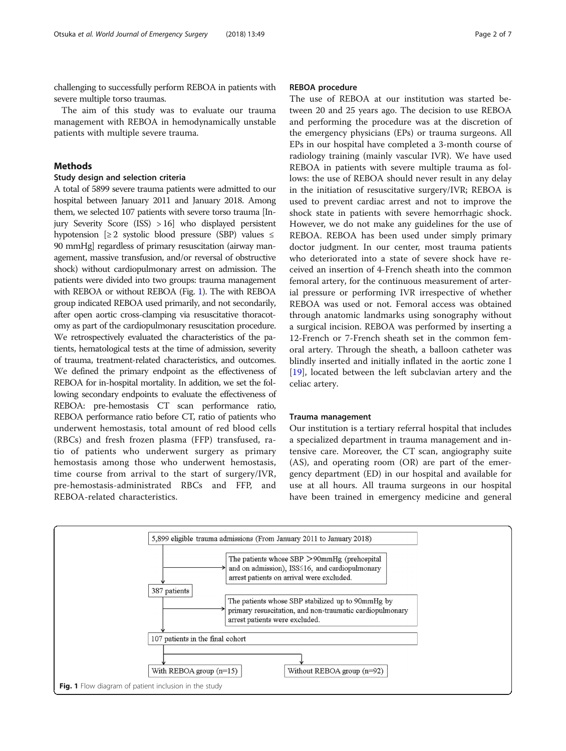challenging to successfully perform REBOA in patients with severe multiple torso traumas.

The aim of this study was to evaluate our trauma management with REBOA in hemodynamically unstable patients with multiple severe trauma.

# **Methods**

# Study design and selection criteria

A total of 5899 severe trauma patients were admitted to our hospital between January 2011 and January 2018. Among them, we selected 107 patients with severe torso trauma [Injury Severity Score (ISS) > 16] who displayed persistent hypotension  $\geq 2$  systolic blood pressure (SBP) values  $\leq$ 90 mmHg] regardless of primary resuscitation (airway management, massive transfusion, and/or reversal of obstructive shock) without cardiopulmonary arrest on admission. The patients were divided into two groups: trauma management with REBOA or without REBOA (Fig. 1). The with REBOA group indicated REBOA used primarily, and not secondarily, after open aortic cross-clamping via resuscitative thoracotomy as part of the cardiopulmonary resuscitation procedure. We retrospectively evaluated the characteristics of the patients, hematological tests at the time of admission, severity of trauma, treatment-related characteristics, and outcomes. We defined the primary endpoint as the effectiveness of REBOA for in-hospital mortality. In addition, we set the following secondary endpoints to evaluate the effectiveness of REBOA: pre-hemostasis CT scan performance ratio, REBOA performance ratio before CT, ratio of patients who underwent hemostasis, total amount of red blood cells (RBCs) and fresh frozen plasma (FFP) transfused, ratio of patients who underwent surgery as primary hemostasis among those who underwent hemostasis, time course from arrival to the start of surgery/IVR, pre-hemostasis-administrated RBCs and FFP, and REBOA-related characteristics.

The use of REBOA at our institution was started between 20 and 25 years ago. The decision to use REBOA and performing the procedure was at the discretion of the emergency physicians (EPs) or trauma surgeons. All EPs in our hospital have completed a 3-month course of radiology training (mainly vascular IVR). We have used REBOA in patients with severe multiple trauma as follows: the use of REBOA should never result in any delay in the initiation of resuscitative surgery/IVR; REBOA is used to prevent cardiac arrest and not to improve the shock state in patients with severe hemorrhagic shock. However, we do not make any guidelines for the use of REBOA. REBOA has been used under simply primary doctor judgment. In our center, most trauma patients who deteriorated into a state of severe shock have received an insertion of 4-French sheath into the common femoral artery, for the continuous measurement of arterial pressure or performing IVR irrespective of whether REBOA was used or not. Femoral access was obtained through anatomic landmarks using sonography without a surgical incision. REBOA was performed by inserting a 12-French or 7-French sheath set in the common femoral artery. Through the sheath, a balloon catheter was blindly inserted and initially inflated in the aortic zone I [[19\]](#page-6-0), located between the left subclavian artery and the celiac artery.

#### Trauma management

Our institution is a tertiary referral hospital that includes a specialized department in trauma management and intensive care. Moreover, the CT scan, angiography suite (AS), and operating room (OR) are part of the emergency department (ED) in our hospital and available for use at all hours. All trauma surgeons in our hospital have been trained in emergency medicine and general

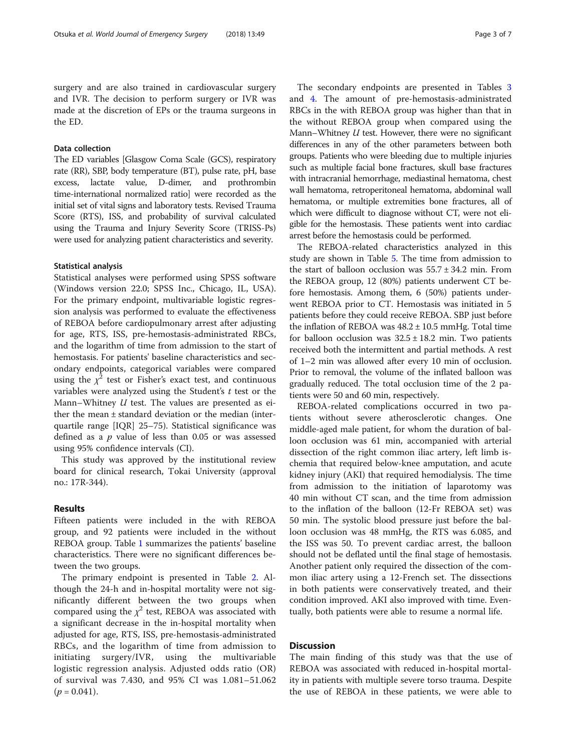surgery and are also trained in cardiovascular surgery and IVR. The decision to perform surgery or IVR was made at the discretion of EPs or the trauma surgeons in the ED.

# Data collection

The ED variables [Glasgow Coma Scale (GCS), respiratory rate (RR), SBP, body temperature (BT), pulse rate, pH, base excess, lactate value, D-dimer, and prothrombin time-international normalized ratio] were recorded as the initial set of vital signs and laboratory tests. Revised Trauma Score (RTS), ISS, and probability of survival calculated using the Trauma and Injury Severity Score (TRISS-Ps) were used for analyzing patient characteristics and severity.

#### Statistical analysis

Statistical analyses were performed using SPSS software (Windows version 22.0; SPSS Inc., Chicago, IL, USA). For the primary endpoint, multivariable logistic regression analysis was performed to evaluate the effectiveness of REBOA before cardiopulmonary arrest after adjusting for age, RTS, ISS, pre-hemostasis-administrated RBCs, and the logarithm of time from admission to the start of hemostasis. For patients' baseline characteristics and secondary endpoints, categorical variables were compared using the  $\chi^2$  test or Fisher's exact test, and continuous variables were analyzed using the Student's  $t$  test or the Mann–Whitney  $U$  test. The values are presented as either the mean ± standard deviation or the median (interquartile range [IQR] 25–75). Statistical significance was defined as a  $p$  value of less than 0.05 or was assessed using 95% confidence intervals (CI).

This study was approved by the institutional review board for clinical research, Tokai University (approval no.: 17R-344).

# Results

Fifteen patients were included in the with REBOA group, and 92 patients were included in the without REBOA group. Table [1](#page-3-0) summarizes the patients' baseline characteristics. There were no significant differences between the two groups.

The primary endpoint is presented in Table [2.](#page-3-0) Although the 24-h and in-hospital mortality were not significantly different between the two groups when compared using the  $\chi^2$  test, REBOA was associated with a significant decrease in the in-hospital mortality when adjusted for age, RTS, ISS, pre-hemostasis-administrated RBCs, and the logarithm of time from admission to initiating surgery/IVR, using the multivariable logistic regression analysis. Adjusted odds ratio (OR) of survival was 7.430, and 95% CI was 1.081–51.062  $(p = 0.041)$ .

The secondary endpoints are presented in Tables [3](#page-4-0) and [4.](#page-4-0) The amount of pre-hemostasis-administrated RBCs in the with REBOA group was higher than that in the without REBOA group when compared using the Mann–Whitney  $U$  test. However, there were no significant differences in any of the other parameters between both groups. Patients who were bleeding due to multiple injuries such as multiple facial bone fractures, skull base fractures with intracranial hemorrhage, mediastinal hematoma, chest wall hematoma, retroperitoneal hematoma, abdominal wall hematoma, or multiple extremities bone fractures, all of which were difficult to diagnose without CT, were not eligible for the hemostasis. These patients went into cardiac arrest before the hemostasis could be performed.

The REBOA-related characteristics analyzed in this study are shown in Table [5.](#page-5-0) The time from admission to the start of balloon occlusion was  $55.7 \pm 34.2$  min. From the REBOA group, 12 (80%) patients underwent CT before hemostasis. Among them, 6 (50%) patients underwent REBOA prior to CT. Hemostasis was initiated in 5 patients before they could receive REBOA. SBP just before the inflation of REBOA was  $48.2 \pm 10.5$  mmHg. Total time for balloon occlusion was  $32.5 \pm 18.2$  min. Two patients received both the intermittent and partial methods. A rest of 1–2 min was allowed after every 10 min of occlusion. Prior to removal, the volume of the inflated balloon was gradually reduced. The total occlusion time of the 2 patients were 50 and 60 min, respectively.

REBOA-related complications occurred in two patients without severe atherosclerotic changes. One middle-aged male patient, for whom the duration of balloon occlusion was 61 min, accompanied with arterial dissection of the right common iliac artery, left limb ischemia that required below-knee amputation, and acute kidney injury (AKI) that required hemodialysis. The time from admission to the initiation of laparotomy was 40 min without CT scan, and the time from admission to the inflation of the balloon (12-Fr REBOA set) was 50 min. The systolic blood pressure just before the balloon occlusion was 48 mmHg, the RTS was 6.085, and the ISS was 50. To prevent cardiac arrest, the balloon should not be deflated until the final stage of hemostasis. Another patient only required the dissection of the common iliac artery using a 12-French set. The dissections in both patients were conservatively treated, and their condition improved. AKI also improved with time. Eventually, both patients were able to resume a normal life.

# **Discussion**

The main finding of this study was that the use of REBOA was associated with reduced in-hospital mortality in patients with multiple severe torso trauma. Despite the use of REBOA in these patients, we were able to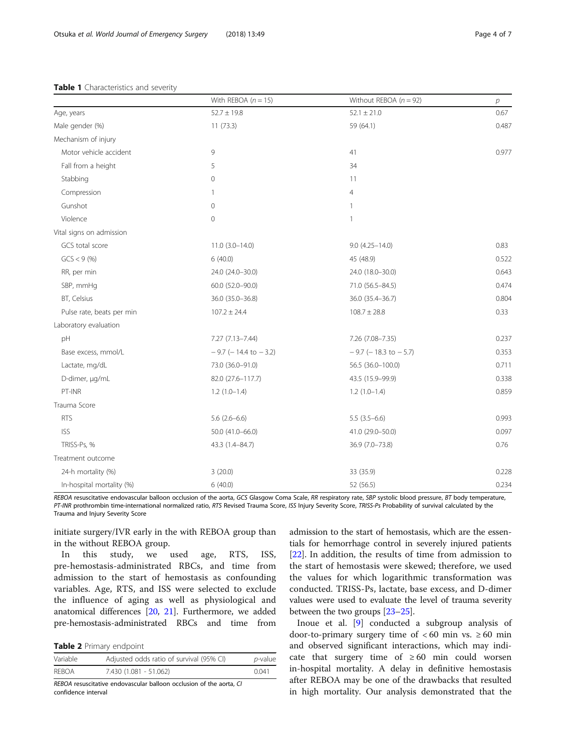# <span id="page-3-0"></span>Table 1 Characteristics and severity

|                           | With REBOA $(n = 15)$        | Without REBOA $(n = 92)$     | $\overline{p}$ |
|---------------------------|------------------------------|------------------------------|----------------|
| Age, years                | $52.7 \pm 19.8$              | $52.1 \pm 21.0$              | 0.67           |
| Male gender (%)           | 11(73.3)                     | 59 (64.1)                    | 0.487          |
| Mechanism of injury       |                              |                              |                |
| Motor vehicle accident    | 9                            | 41                           | 0.977          |
| Fall from a height        | 5                            | 34                           |                |
| Stabbing                  | 0                            | 11                           |                |
| Compression               | $\mathbf{1}$                 | $\overline{4}$               |                |
| Gunshot                   | 0                            | 1                            |                |
| Violence                  | $\overline{0}$               | 1                            |                |
| Vital signs on admission  |                              |                              |                |
| GCS total score           | $11.0 (3.0 - 14.0)$          | $9.0(4.25 - 14.0)$           | 0.83           |
| $GCS < 9$ (%)             | 6(40.0)                      | 45 (48.9)                    | 0.522          |
| RR, per min               | 24.0 (24.0-30.0)             | 24.0 (18.0-30.0)             | 0.643          |
| SBP, mmHq                 | 60.0 (52.0-90.0)             | 71.0 (56.5-84.5)             | 0.474          |
| BT, Celsius               | 36.0 (35.0-36.8)             | 36.0 (35.4-36.7)             | 0.804          |
| Pulse rate, beats per min | $107.2 \pm 24.4$             | $108.7 \pm 28.8$             | 0.33           |
| Laboratory evaluation     |                              |                              |                |
| pH                        | 7.27 (7.13-7.44)             | 7.26 (7.08-7.35)             | 0.237          |
| Base excess, mmol/L       | $-9.7$ ( $-14.4$ to $-3.2$ ) | $-9.7$ ( $-18.3$ to $-5.7$ ) | 0.353          |
| Lactate, mg/dL            | 73.0 (36.0-91.0)             | 56.5 (36.0-100.0)            | 0.711          |
| D-dimer, µg/mL            | 82.0 (27.6-117.7)            | 43.5 (15.9-99.9)             | 0.338          |
| PT-INR                    | $1.2(1.0-1.4)$               | $1.2(1.0-1.4)$               | 0.859          |
| Trauma Score              |                              |                              |                |
| <b>RTS</b>                | $5.6(2.6-6.6)$               | $5.5(3.5-6.6)$               | 0.993          |
| <b>ISS</b>                | 50.0 (41.0-66.0)             | 41.0 (29.0-50.0)             | 0.097          |
| TRISS-Ps, %               | 43.3 (1.4-84.7)              | 36.9 (7.0-73.8)              | 0.76           |
| Treatment outcome         |                              |                              |                |
| 24-h mortality (%)        | 3(20.0)                      | 33 (35.9)                    | 0.228          |
| In-hospital mortality (%) | 6(40.0)                      | 52 (56.5)                    | 0.234          |

REBOA resuscitative endovascular balloon occlusion of the aorta, GCS Glasgow Coma Scale, RR respiratory rate, SBP systolic blood pressure, BT body temperature, PT-INR prothrombin time-international normalized ratio, RTS Revised Trauma Score, ISS Injury Severity Score, TRISS-Ps Probability of survival calculated by the Trauma and Injury Severity Score

initiate surgery/IVR early in the with REBOA group than in the without REBOA group.

In this study, we used age, RTS, ISS, pre-hemostasis-administrated RBCs, and time from admission to the start of hemostasis as confounding variables. Age, RTS, and ISS were selected to exclude the influence of aging as well as physiological and anatomical differences [\[20,](#page-6-0) [21](#page-6-0)]. Furthermore, we added pre-hemostasis-administrated RBCs and time from

Table 2 Primary endpoint

Variable Adjusted odds ratio of survival (95% CI) p-value REBOA 7.430 (1.081 - 51.062) 0.041

REBOA resuscitative endovascular balloon occlusion of the aorta, CI confidence interval

admission to the start of hemostasis, which are the essentials for hemorrhage control in severely injured patients [[22](#page-6-0)]. In addition, the results of time from admission to the start of hemostasis were skewed; therefore, we used the values for which logarithmic transformation was conducted. TRISS-Ps, lactate, base excess, and D-dimer values were used to evaluate the level of trauma severity between the two groups [\[23](#page-6-0)–[25](#page-6-0)].

Inoue et al. [[9\]](#page-5-0) conducted a subgroup analysis of door-to-primary surgery time of  $< 60$  min vs.  $\geq 60$  min and observed significant interactions, which may indicate that surgery time of  $\geq 60$  min could worsen in-hospital mortality. A delay in definitive hemostasis after REBOA may be one of the drawbacks that resulted in high mortality. Our analysis demonstrated that the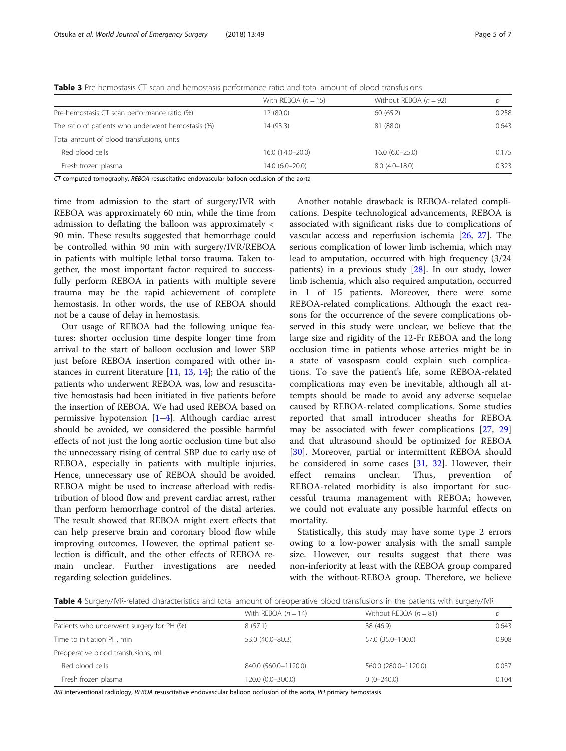<span id="page-4-0"></span>Table 3 Pre-hemostasis CT scan and hemostasis performance ratio and total amount of blood transfusions

|                                                    | With REBOA $(n = 15)$ | Without REBOA $(n = 92)$ | D     |
|----------------------------------------------------|-----------------------|--------------------------|-------|
| Pre-hemostasis CT scan performance ratio (%)       | 12 (80.0)             | 60(65.2)                 | 0.258 |
| The ratio of patients who underwent hemostasis (%) | 14 (93.3)             | 81 (88.0)                | 0.643 |
| Total amount of blood transfusions, units          |                       |                          |       |
| Red blood cells                                    | 16.0 (14.0-20.0)      | $16.0(6.0-25.0)$         | 0.175 |
| Fresh frozen plasma                                | $14.0(6.0 - 20.0)$    | $8.0(4.0 - 18.0)$        | 0.323 |
|                                                    |                       |                          |       |

CT computed tomography, REBOA resuscitative endovascular balloon occlusion of the aorta

time from admission to the start of surgery/IVR with REBOA was approximately 60 min, while the time from admission to deflating the balloon was approximately < 90 min. These results suggested that hemorrhage could be controlled within 90 min with surgery/IVR/REBOA in patients with multiple lethal torso trauma. Taken together, the most important factor required to successfully perform REBOA in patients with multiple severe trauma may be the rapid achievement of complete hemostasis. In other words, the use of REBOA should not be a cause of delay in hemostasis.

Our usage of REBOA had the following unique features: shorter occlusion time despite longer time from arrival to the start of balloon occlusion and lower SBP just before REBOA insertion compared with other instances in current literature [\[11](#page-6-0), [13](#page-6-0), [14\]](#page-6-0); the ratio of the patients who underwent REBOA was, low and resuscitative hemostasis had been initiated in five patients before the insertion of REBOA. We had used REBOA based on permissive hypotension [\[1](#page-5-0)–[4\]](#page-5-0). Although cardiac arrest should be avoided, we considered the possible harmful effects of not just the long aortic occlusion time but also the unnecessary rising of central SBP due to early use of REBOA, especially in patients with multiple injuries. Hence, unnecessary use of REBOA should be avoided. REBOA might be used to increase afterload with redistribution of blood flow and prevent cardiac arrest, rather than perform hemorrhage control of the distal arteries. The result showed that REBOA might exert effects that can help preserve brain and coronary blood flow while improving outcomes. However, the optimal patient selection is difficult, and the other effects of REBOA remain unclear. Further investigations are needed regarding selection guidelines.

Another notable drawback is REBOA-related complications. Despite technological advancements, REBOA is associated with significant risks due to complications of vascular access and reperfusion ischemia [\[26,](#page-6-0) [27\]](#page-6-0). The serious complication of lower limb ischemia, which may lead to amputation, occurred with high frequency (3/24 patients) in a previous study [\[28](#page-6-0)]. In our study, lower limb ischemia, which also required amputation, occurred in 1 of 15 patients. Moreover, there were some REBOA-related complications. Although the exact reasons for the occurrence of the severe complications observed in this study were unclear, we believe that the large size and rigidity of the 12-Fr REBOA and the long occlusion time in patients whose arteries might be in a state of vasospasm could explain such complications. To save the patient's life, some REBOA-related complications may even be inevitable, although all attempts should be made to avoid any adverse sequelae caused by REBOA-related complications. Some studies reported that small introducer sheaths for REBOA may be associated with fewer complications [[27,](#page-6-0) [29](#page-6-0)] and that ultrasound should be optimized for REBOA [[30](#page-6-0)]. Moreover, partial or intermittent REBOA should be considered in some cases  $[31, 32]$  $[31, 32]$  $[31, 32]$  $[31, 32]$ . However, their effect remains unclear. Thus, prevention of REBOA-related morbidity is also important for successful trauma management with REBOA; however, we could not evaluate any possible harmful effects on mortality.

Statistically, this study may have some type 2 errors owing to a low-power analysis with the small sample size. However, our results suggest that there was non-inferiority at least with the REBOA group compared with the without-REBOA group. Therefore, we believe

|  | Table 4 Surgery/IVR-related characteristics and total amount of preoperative blood transfusions in the patients with surgery/IVR |  |
|--|----------------------------------------------------------------------------------------------------------------------------------|--|
|  |                                                                                                                                  |  |

|                                           | With REBOA $(n = 14)$ | Without REBOA $(n = 81)$ |       |
|-------------------------------------------|-----------------------|--------------------------|-------|
| Patients who underwent surgery for PH (%) | 8(57.1)               | 38 (46.9)                | 0.643 |
| Time to initiation PH, min                | 53.0 (40.0-80.3)      | 57.0 (35.0-100.0)        | 0.908 |
| Preoperative blood transfusions, mL       |                       |                          |       |
| Red blood cells                           | 840.0 (560.0-1120.0)  | 560.0 (280.0-1120.0)     | 0.037 |
| Fresh frozen plasma                       | 120.0 (0.0-300.0)     | $0(0-240.0)$             | 0.104 |

IVR interventional radiology, REBOA resuscitative endovascular balloon occlusion of the aorta, PH primary hemostasis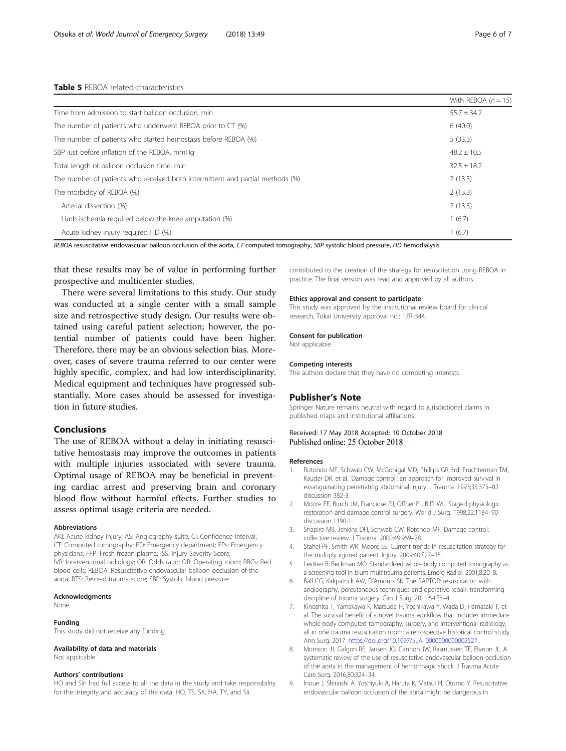## <span id="page-5-0"></span>Table 5 REBOA related-characteristics

|                                                                               | With REBOA $(n = 15)$ |
|-------------------------------------------------------------------------------|-----------------------|
| Time from admission to start balloon occlusion, min                           | $55.7 \pm 34.2$       |
| The number of patients who underwent REBOA prior to $CT$ (%)                  | 6(40.0)               |
| The number of patients who started hemostasis before REBOA (%)                | 5(33.3)               |
| SBP just before inflation of the REBOA, mmHq                                  | $48.2 \pm 10.5$       |
| Total length of balloon occlusion time, min                                   | $32.5 \pm 18.2$       |
| The number of patients who received both intermittent and partial methods (%) | 2(13.3)               |
| The morbidity of REBOA (%)                                                    | 2(13.3)               |
| Arterial dissection (%)                                                       | 2(13.3)               |
| Limb ischemia required below-the-knee amputation (%)                          | 1(6.7)                |
| Acute kidney injury required HD (%)                                           | 1(6.7)                |

REBOA resuscitative endovascular balloon occlusion of the aorta, CT computed tomography, SBP systolic blood pressure, HD hemodialysis

that these results may be of value in performing further prospective and multicenter studies.

There were several limitations to this study. Our study was conducted at a single center with a small sample size and retrospective study design. Our results were obtained using careful patient selection; however, the potential number of patients could have been higher. Therefore, there may be an obvious selection bias. Moreover, cases of severe trauma referred to our center were highly specific, complex, and had low interdisciplinarity. Medical equipment and techniques have progressed substantially. More cases should be assessed for investigation in future studies.

# Conclusions

The use of REBOA without a delay in initiating resuscitative hemostasis may improve the outcomes in patients with multiple injuries associated with severe trauma. Optimal usage of REBOA may be beneficial in preventing cardiac arrest and preserving brain and coronary blood flow without harmful effects. Further studies to assess optimal usage criteria are needed.

#### Abbreviations

AKI: Acute kidney injury; AS: Angiography suite; CI: Confidence interval; CT: Computed tomography; ED: Emergency department; EPs: Emergency physicians; FFP: Fresh frozen plasma; ISS: Injury Severity Score; IVR: Interventional radiology; OR: Odds ratio; OR: Operating room; RBCs: Red blood cells; REBOA: Resuscitative endovascular balloon occlusion of the aorta; RTS: Revised trauma score; SBP: Systolic blood pressure

#### Acknowledgments

None.

#### Funding

This study did not receive any funding.

#### Availability of data and materials

Not applicable

#### Authors' contributions

HO and SIn had full access to all the data in the study and take responsibility for the integrity and accuracy of the data. HO, TS, SK, HA, TY, and SIi

contributed to the creation of the strategy for resuscitation using REBOA in practice. The final version was read and approved by all authors.

# Ethics approval and consent to participate

This study was approved by the institutional review board for clinical research, Tokai University approval no.: 17R-344.

#### Consent for publication

Not applicable

#### Competing interests

The authors declare that they have no competing interests.

# Publisher's Note

Springer Nature remains neutral with regard to jurisdictional claims in published maps and institutional affiliations.

## Received: 17 May 2018 Accepted: 10 October 2018 Published online: 25 October 2018

### References

- Rotondo MF, Schwab CW, McGonigal MD, Phillips GR 3rd, Fruchterman TM, Kauder DR, et al. 'Damage control': an approach for improved survival in exsanguinating penetrating abdominal injury. J Trauma. 1993;35:375–82 discussion 382-3
- 2. Moore EE, Burch JM, Franciose RJ, Offner PJ, Biffl WL. Staged physiologic restoration and damage control surgery. World J Surg. 1998;22:1184–90 discussion 1190-1.
- 3. Shapiro MB, Jenkins DH, Schwab CW, Rotondo MF. Damage control: collective review. J Trauma. 2000;49:969–78.
- 4. Stahel PF, Smith WR, Moore EE. Current trends in resuscitation strategy for the multiply injured patient. Injury. 2009;40:S27–35.
- 5. Leidner B, Beckman MO. Standardized whole-body computed tomography as a screening tool in blunt multitrauma patients. Emerg Radiol. 2001;8:20–8.
- Ball CG, Kirkpatrick AW, D'Amours SK. The RAPTOR: resuscitation with angiography, percutaneous techniques and operative repair: transforming discipline of trauma surgery. Can J Surg. 2011;54:E3–4.
- 7. Kinoshita T, Yamakawa K, Matsuda H, Yoshikawa Y, Wada D, Hamasaki T, et al. The survival benefit of a novel trauma workflow that includes immediate whole-body computed tomography, surgery, and interventional radiology, all in one trauma resuscitation room: a retrospective historical control study. Ann Surg. 2017. [https://doi.org/10.1097/SLA. 0000000000002527.](https://doi.org/10.1097/SLA. 0000000000002527)
- 8. Morrison JJ, Galgon RE, Jansen JO, Cannon JW, Rasmussen TE, Eliason JL. A systematic review of the use of resuscitative endovascular balloon occlusion of the aorta in the management of hemorrhagic shock. J Trauma Acute Care Surg. 2016;80:324–34.
- 9. Inoue J, Shiraishi A, Yoshiyuki A, Haruta K, Matsui H, Otomo Y. Resuscitative endovascular balloon occlusion of the aorta might be dangerous in